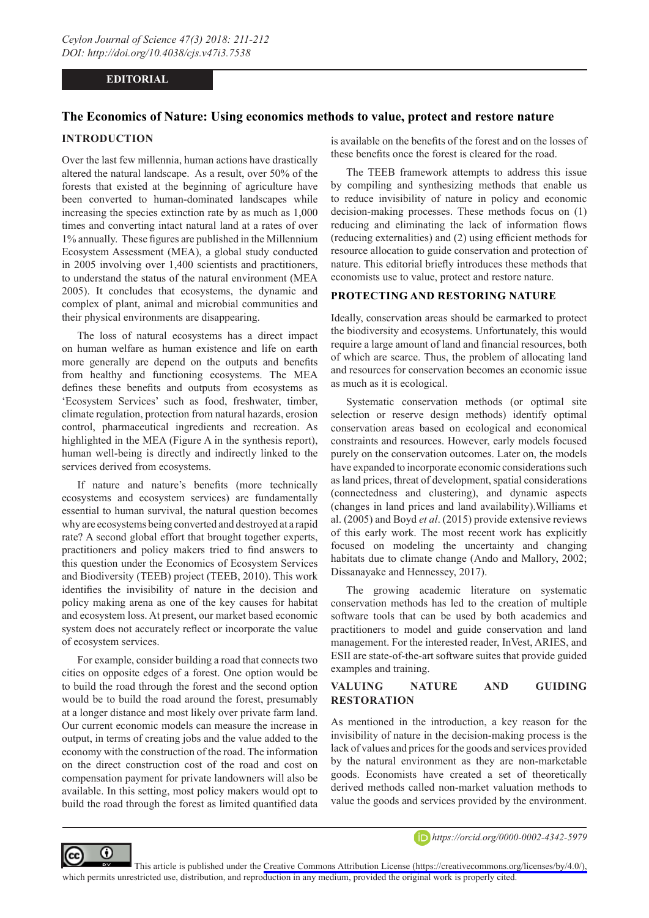### **EDITORIAL**

# **The Economics of Nature: Using economics methods to value, protect and restore nature**

#### **INTRODUCTION**

Over the last few millennia, human actions have drastically altered the natural landscape. As a result, over 50% of the forests that existed at the beginning of agriculture have been converted to human-dominated landscapes while increasing the species extinction rate by as much as 1,000 times and converting intact natural land at a rates of over 1% annually. These figures are published in the Millennium Ecosystem Assessment (MEA), a global study conducted in 2005 involving over 1,400 scientists and practitioners, to understand the status of the natural environment (MEA 2005). It concludes that ecosystems, the dynamic and complex of plant, animal and microbial communities and their physical environments are disappearing.

The loss of natural ecosystems has a direct impact on human welfare as human existence and life on earth more generally are depend on the outputs and benefits from healthy and functioning ecosystems. The MEA defines these benefits and outputs from ecosystems as 'Ecosystem Services' such as food, freshwater, timber, climate regulation, protection from natural hazards, erosion control, pharmaceutical ingredients and recreation. As highlighted in the MEA (Figure A in the synthesis report), human well-being is directly and indirectly linked to the services derived from ecosystems.

If nature and nature's benefits (more technically ecosystems and ecosystem services) are fundamentally essential to human survival, the natural question becomes why are ecosystems being converted and destroyed at a rapid rate? A second global effort that brought together experts, practitioners and policy makers tried to find answers to this question under the Economics of Ecosystem Services and Biodiversity (TEEB) project (TEEB, 2010). This work identifies the invisibility of nature in the decision and policy making arena as one of the key causes for habitat and ecosystem loss. At present, our market based economic system does not accurately reflect or incorporate the value of ecosystem services.

For example, consider building a road that connects two cities on opposite edges of a forest. One option would be to build the road through the forest and the second option would be to build the road around the forest, presumably at a longer distance and most likely over private farm land. Our current economic models can measure the increase in output, in terms of creating jobs and the value added to the economy with the construction of the road. The information on the direct construction cost of the road and cost on compensation payment for private landowners will also be available. In this setting, most policy makers would opt to build the road through the forest as limited quantified data

is available on the benefits of the forest and on the losses of these benefits once the forest is cleared for the road.

The TEEB framework attempts to address this issue by compiling and synthesizing methods that enable us to reduce invisibility of nature in policy and economic decision-making processes. These methods focus on (1) reducing and eliminating the lack of information flows (reducing externalities) and (2) using efficient methods for resource allocation to guide conservation and protection of nature. This editorial briefly introduces these methods that economists use to value, protect and restore nature.

### **PROTECTING AND RESTORING NATURE**

Ideally, conservation areas should be earmarked to protect the biodiversity and ecosystems. Unfortunately, this would require a large amount of land and financial resources, both of which are scarce. Thus, the problem of allocating land and resources for conservation becomes an economic issue as much as it is ecological.

Systematic conservation methods (or optimal site selection or reserve design methods) identify optimal conservation areas based on ecological and economical constraints and resources. However, early models focused purely on the conservation outcomes. Later on, the models have expanded to incorporate economic considerations such as land prices, threat of development, spatial considerations (connectedness and clustering), and dynamic aspects (changes in land prices and land availability).Williams et al. (2005) and Boyd *et al*. (2015) provide extensive reviews of this early work. The most recent work has explicitly focused on modeling the uncertainty and changing habitats due to climate change (Ando and Mallory, 2002; Dissanayake and Hennessey, 2017).

The growing academic literature on systematic conservation methods has led to the creation of multiple software tools that can be used by both academics and practitioners to model and guide conservation and land management. For the interested reader, InVest, ARIES, and ESII are state-of-the-art software suites that provide guided examples and training.

# **VALUING NATURE AND GUIDING RESTORATION**

As mentioned in the introduction, a key reason for the invisibility of nature in the decision-making process is the lack of values and prices for the goods and services provided by the natural environment as they are non-marketable goods. Economists have created a set of theoretically derived methods called non-market valuation methods to value the goods and services provided by the environment.



*https://orcid.org/0000-0002-4342-5979*

This article is published under the [Creative Commons Attribution License \(https://creativecommons.org/licenses/by/4.0/\),](https://creativecommons.org/licenses/by/4.0/)  which permits unrestricted use, distribution, and reproduction in any medium, provided the original work is properly cited.